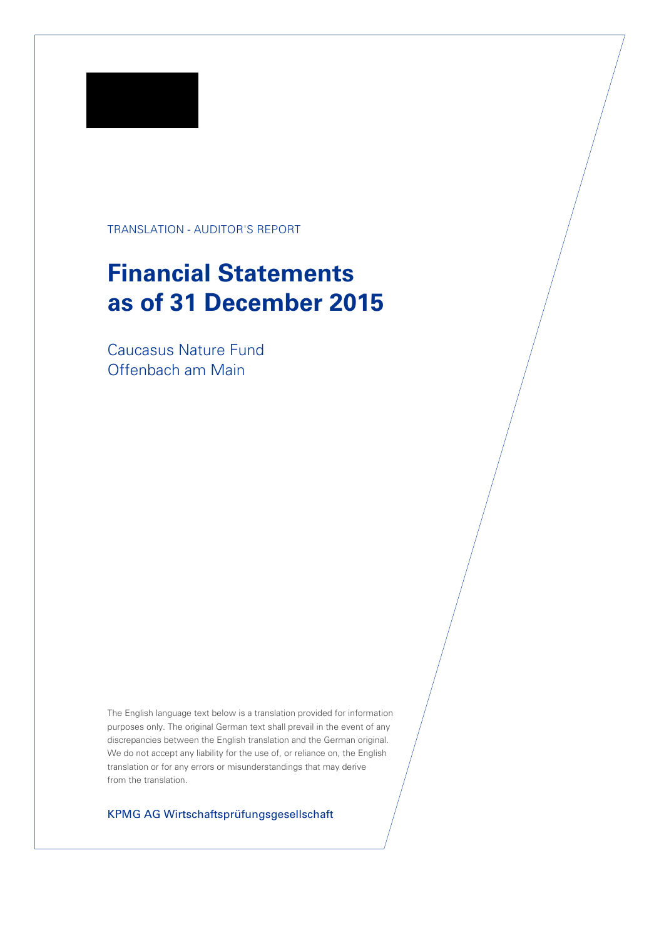

TRANSLATION - AUDITOR'S REPORT

# Financial Statements as of 31 December 2015

Caucasus Nature Fund Offenbach am Main

The English language text below is a translation provided for information purposes only. The original German text shall prevail in the event of any discrepancies between the English translation and the German original. We do not accept any liability for the use of, or reliance on, the English translation or for any errors or misunderstandings that may derive from the translation.

KPMG AG Wirtschaftsprüfungsgesellschaft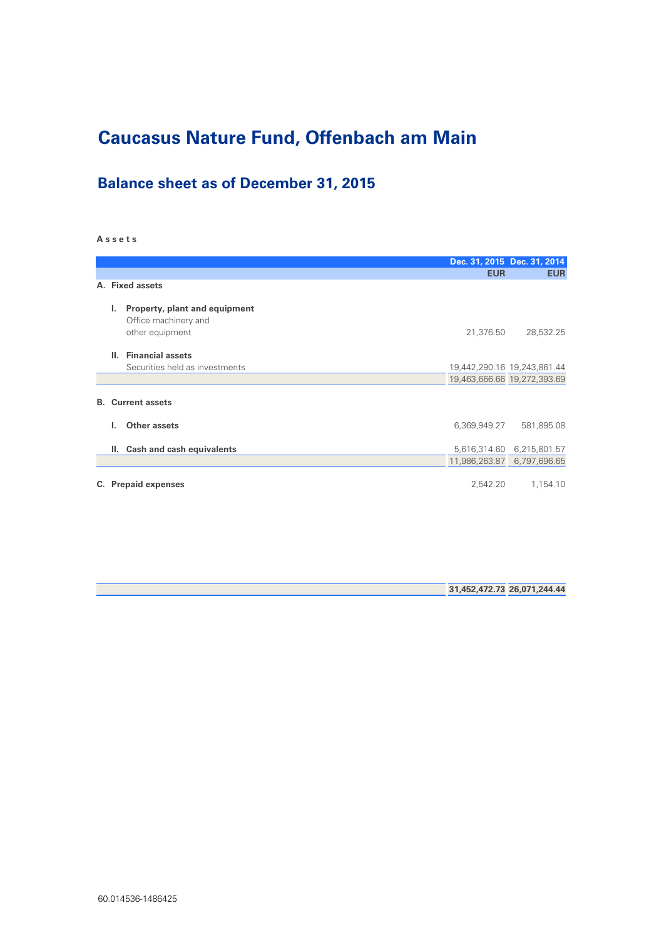### Balance sheet as of December 31, 2015

A s s e t s

|       |                                                                          | Dec. 31, 2015 Dec. 31, 2014 |                             |
|-------|--------------------------------------------------------------------------|-----------------------------|-----------------------------|
|       |                                                                          | <b>EUR</b>                  | <b>EUR</b>                  |
|       | A. Fixed assets                                                          |                             |                             |
| L.    | Property, plant and equipment<br>Office machinery and<br>other equipment | 21,376.50                   | 28,532.25                   |
| II.   | <b>Financial assets</b><br>Securities held as investments                |                             | 19,442,290.16 19,243,861.44 |
|       |                                                                          |                             | 19,463,666.66 19,272,393.69 |
|       | <b>B.</b> Current assets                                                 |                             |                             |
|       | Other assets                                                             | 6,369,949.27                | 581,895.08                  |
| II. . | <b>Cash and cash equivalents</b>                                         |                             | 5,616,314.60 6,215,801.57   |
|       |                                                                          | 11,986,263.87               | 6,797,696.65                |
|       | <b>C.</b> Prepaid expenses                                               | 2,542.20                    | 1,154.10                    |

31,452,472.73 26,071,244.44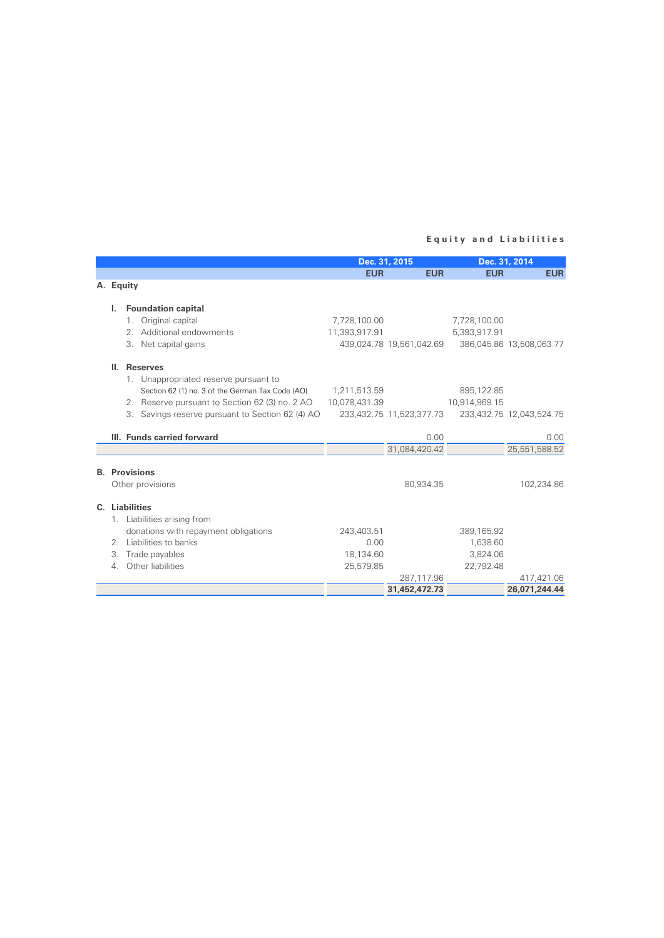#### Equity and Liabilities

|    |                                                  | Dec. 31, 2015 |                          |               | Dec. 31, 2014            |  |
|----|--------------------------------------------------|---------------|--------------------------|---------------|--------------------------|--|
|    |                                                  | <b>EUR</b>    | <b>EUR</b>               | <b>EUR</b>    | <b>EUR</b>               |  |
|    | A. Equity                                        |               |                          |               |                          |  |
|    |                                                  |               |                          |               |                          |  |
|    | <b>Foundation capital</b>                        |               |                          |               |                          |  |
|    | Original capital<br>$1_{\cdot}$                  | 7,728,100.00  |                          | 7,728,100.00  |                          |  |
|    | 2. Additional endowments                         | 11,393,917.91 |                          | 5,393,917.91  |                          |  |
|    | 3. Net capital gains                             |               | 439,024.78 19,561,042.69 |               | 386,045.86 13,508,063.77 |  |
| Ш. | <b>Reserves</b>                                  |               |                          |               |                          |  |
|    | 1. Unappropriated reserve pursuant to            |               |                          |               |                          |  |
|    | Section 62 (1) no. 3 of the German Tax Code (AO) | 1,211,513.59  |                          | 895,122.85    |                          |  |
|    | 2. Reserve pursuant to Section 62 (3) no. 2 AO   | 10,078,431.39 |                          | 10,914,969.15 |                          |  |
|    | 3. Savings reserve pursuant to Section 62 (4) AO |               | 233,432.75 11,523,377.73 |               | 233,432.75 12,043,524.75 |  |
|    | III. Funds carried forward                       |               | 0.00                     |               | 0.00                     |  |
|    |                                                  |               | 31,084,420.42            |               | 25,551,588.52            |  |
|    |                                                  |               |                          |               |                          |  |
|    | <b>B.</b> Provisions                             |               |                          |               |                          |  |
|    | Other provisions                                 |               | 80.934.35                |               | 102.234.86               |  |
|    |                                                  |               |                          |               |                          |  |
|    | C. Liabilities                                   |               |                          |               |                          |  |
|    | 1. Liabilities arising from                      |               |                          |               |                          |  |
|    | donations with repayment obligations             | 243,403.51    |                          | 389,165.92    |                          |  |
|    | 2. Liabilities to banks                          | 0.00          |                          | 1,638.60      |                          |  |
| 3. | Trade payables                                   | 18,134.60     |                          | 3.824.06      |                          |  |
| 4. | Other liabilities                                | 25,579.85     |                          | 22,792.48     |                          |  |
|    |                                                  |               | 287,117.96               |               | 417,421.06               |  |
|    |                                                  |               | 31.452.472.73            |               | 26,071,244.44            |  |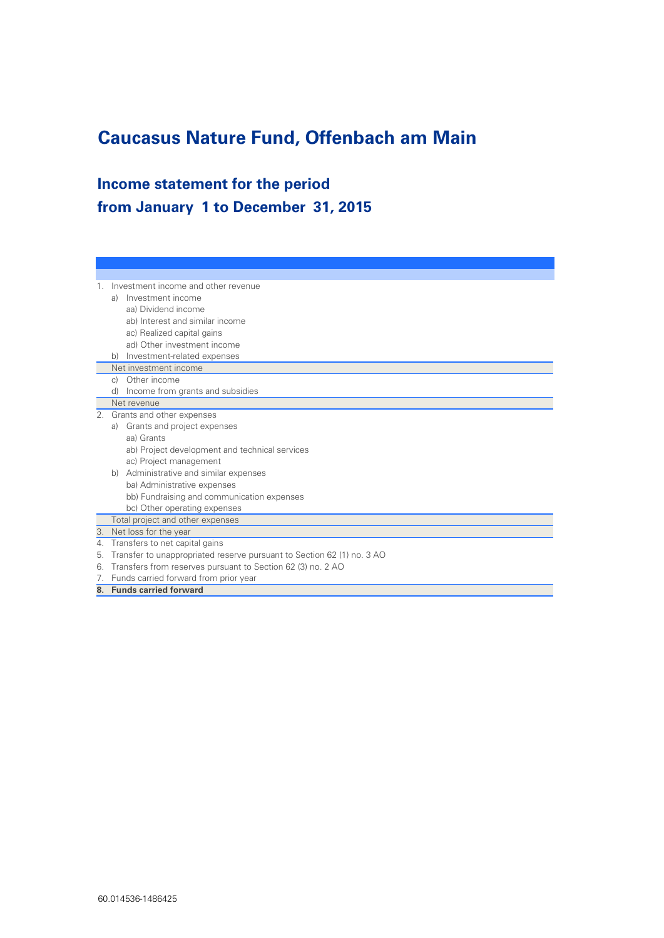### Income statement for the period from January 1 to December 31, 2015

|    |         | Investment income and other revenue                                    |
|----|---------|------------------------------------------------------------------------|
|    | a)      | Investment income                                                      |
|    |         | aa) Dividend income                                                    |
|    |         | ab) Interest and similar income                                        |
|    |         | ac) Realized capital gains                                             |
|    |         | ad) Other investment income                                            |
|    | b)      | Investment-related expenses                                            |
|    |         | Net investment income                                                  |
|    | $\circ$ | Other income                                                           |
|    | d)      | Income from grants and subsidies                                       |
|    |         | Net revenue                                                            |
| 2. |         | Grants and other expenses                                              |
|    | a)      | Grants and project expenses                                            |
|    |         | aa) Grants                                                             |
|    |         | ab) Project development and technical services                         |
|    |         | ac) Project management                                                 |
|    | b)      | Administrative and similar expenses                                    |
|    |         | ba) Administrative expenses                                            |
|    |         | bb) Fundraising and communication expenses                             |
|    |         | bc) Other operating expenses                                           |
|    |         | Total project and other expenses                                       |
| 3. |         | Net loss for the year                                                  |
| 4. |         | Transfers to net capital gains                                         |
| 5. |         | Transfer to unappropriated reserve pursuant to Section 62 (1) no. 3 AO |
| 6. |         | Transfers from reserves pursuant to Section 62 (3) no. 2 AO            |
|    |         | 7. Funds carried forward from prior year                               |

8. Funds carried forward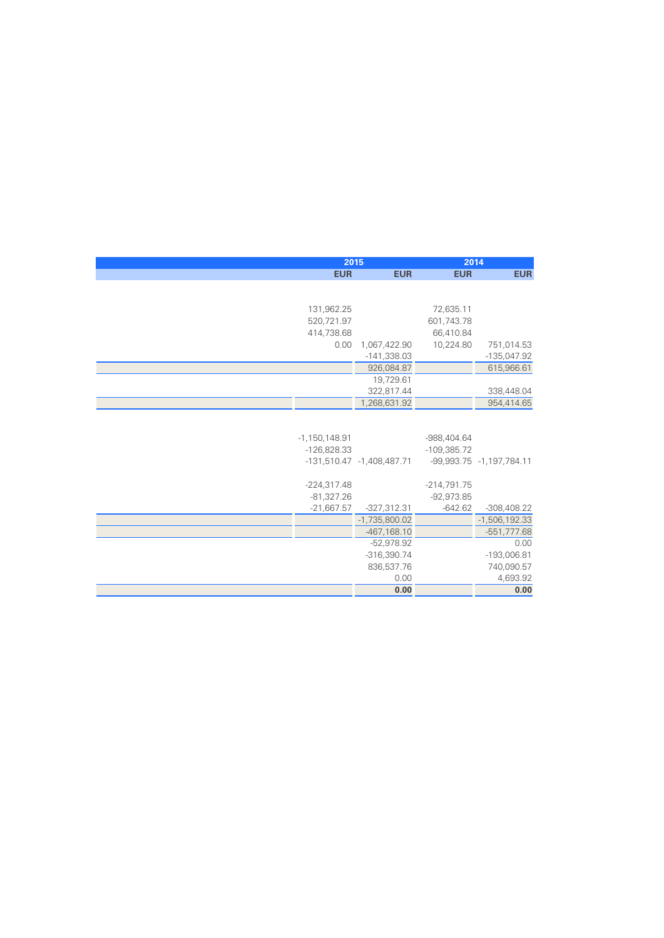| 2015            |                           | 2014          |                          |
|-----------------|---------------------------|---------------|--------------------------|
| <b>EUR</b>      | <b>EUR</b>                | <b>EUR</b>    | <b>EUR</b>               |
|                 |                           |               |                          |
|                 |                           |               |                          |
| 131,962.25      |                           | 72,635.11     |                          |
| 520,721.97      |                           | 601,743.78    |                          |
| 414,738.68      |                           | 66,410.84     |                          |
| 0.00            | 1,067,422.90              | 10,224.80     | 751,014.53               |
|                 | $-141,338.03$             |               | $-135,047.92$            |
|                 | 926,084.87                |               | 615,966.61               |
|                 | 19,729.61                 |               |                          |
|                 | 322,817.44                |               | 338,448.04               |
|                 | 1,268,631.92              |               | 954,414.65               |
|                 |                           |               |                          |
|                 |                           |               |                          |
| $-1,150,148.91$ |                           | $-988,404.64$ |                          |
| $-126,828.33$   |                           | $-109,385.72$ |                          |
|                 | -131,510.47 -1,408,487.71 |               | -99,993.75 -1,197,784.11 |
| $-224,317.48$   |                           | $-214,791.75$ |                          |
| $-81,327.26$    |                           | $-92,973.85$  |                          |
| $-21,667.57$    | $-327,312.31$             | $-642.62$     | $-308,408.22$            |
|                 | $-1,735,800.02$           |               | $-1,506,192.33$          |
|                 | $-467,168.10$             |               | $-551,777.68$            |
|                 | $-52,978.92$              |               | 0.00                     |
|                 | $-316,390.74$             |               | $-193,006.81$            |
|                 | 836,537.76                |               | 740,090.57               |
|                 | 0.00                      |               | 4,693.92                 |
|                 | 0.00                      |               | 0.00                     |
|                 |                           |               |                          |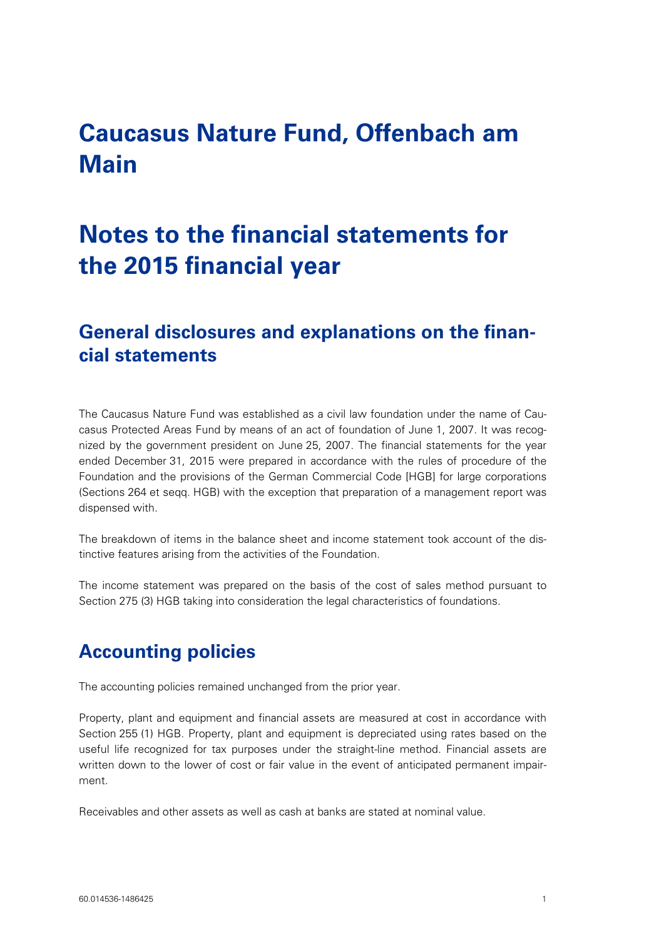# Notes to the financial statements for the 2015 financial year

### General disclosures and explanations on the financial statements

The Caucasus Nature Fund was established as a civil law foundation under the name of Caucasus Protected Areas Fund by means of an act of foundation of June 1, 2007. It was recognized by the government president on June 25, 2007. The financial statements for the year ended December 31, 2015 were prepared in accordance with the rules of procedure of the Foundation and the provisions of the German Commercial Code [HGB] for large corporations (Sections 264 et seqq. HGB) with the exception that preparation of a management report was dispensed with.

The breakdown of items in the balance sheet and income statement took account of the distinctive features arising from the activities of the Foundation.

The income statement was prepared on the basis of the cost of sales method pursuant to Section 275 (3) HGB taking into consideration the legal characteristics of foundations.

### Accounting policies

The accounting policies remained unchanged from the prior year.

Property, plant and equipment and financial assets are measured at cost in accordance with Section 255 (1) HGB. Property, plant and equipment is depreciated using rates based on the useful life recognized for tax purposes under the straight-line method. Financial assets are written down to the lower of cost or fair value in the event of anticipated permanent impairment

Receivables and other assets as well as cash at banks are stated at nominal value.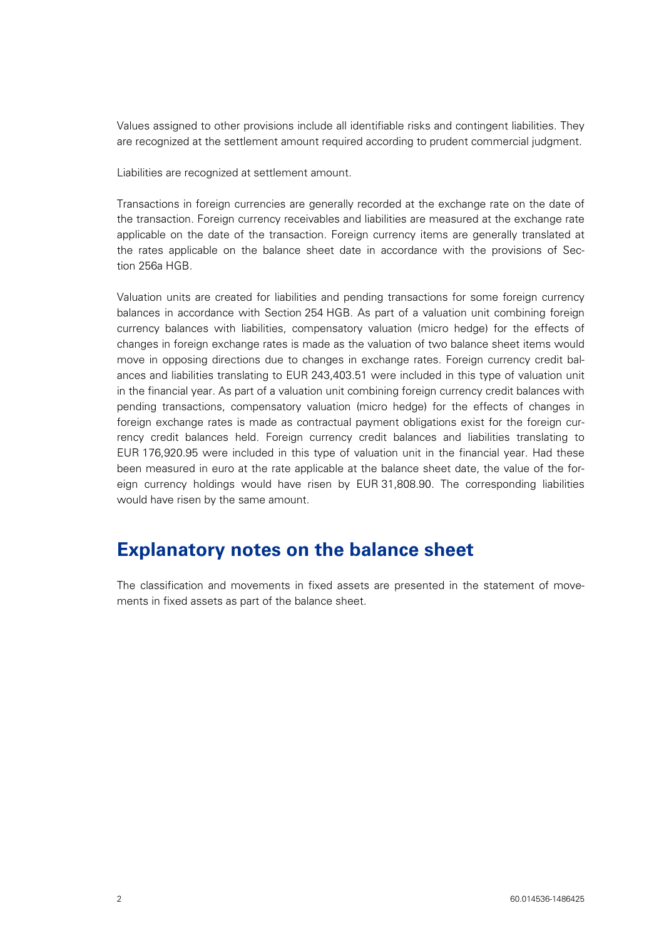Values assigned to other provisions include all identifiable risks and contingent liabilities. They are recognized at the settlement amount required according to prudent commercial judgment.

Liabilities are recognized at settlement amount.

Transactions in foreign currencies are generally recorded at the exchange rate on the date of the transaction. Foreign currency receivables and liabilities are measured at the exchange rate applicable on the date of the transaction. Foreign currency items are generally translated at the rates applicable on the balance sheet date in accordance with the provisions of Section 256a HGB.

Valuation units are created for liabilities and pending transactions for some foreign currency balances in accordance with Section 254 HGB. As part of a valuation unit combining foreign currency balances with liabilities, compensatory valuation (micro-hedge) for the effects of changes in foreign exchange rates is made as the valuation of two balance sheet items would move in opposing directions due to changes in exchange rates. Foreign currency credit balances and liabilities translating to EUR 243,403.51 were included in this type of valuation unit in the financial year. As part of a valuation unit combining foreign currency credit balances with pending transactions, compensatory valuation (micro hedge) for the effects of changes in foreign exchange rates is made as contractual payment obligations exist for the foreign currency credit balances held. Foreign currency credit balances and liabilities translating to EUR 176,920.95 were included in this type of valuation unit in the financial year. Had these been measured in euro at the rate applicable at the balance sheet date, the value of the foreign currency holdings would have risen by EUR 31,808.90. The corresponding liabilities would have risen by the same amount.

### Explanatory notes on the balance sheet

The classification and movements in fixed assets are presented in the statement of movements in fixed assets as part of the balance sheet.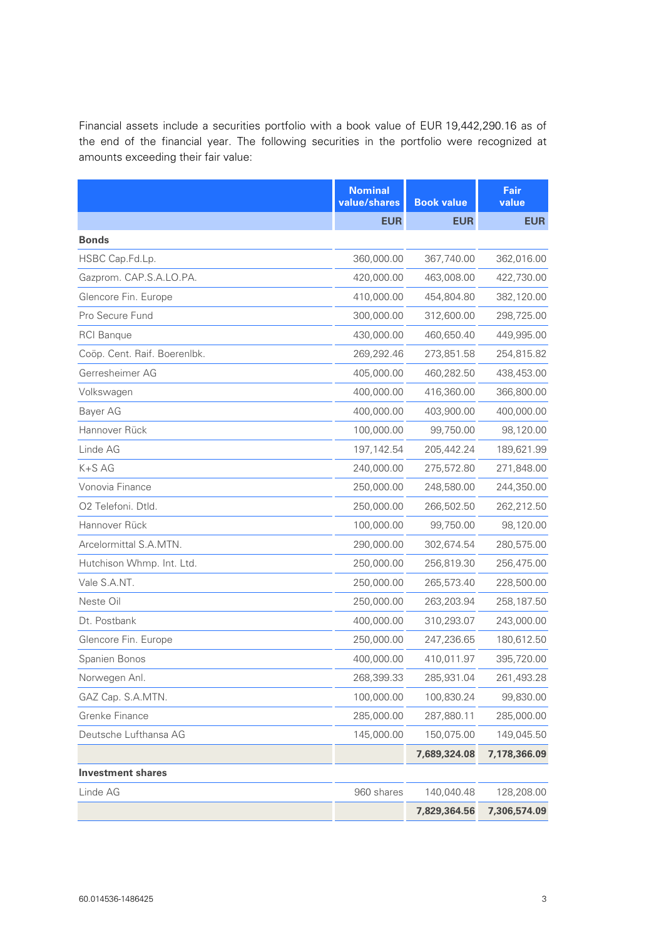Financial assets include a securities portfolio with a book value of EUR 19,442,290.16 as of the end of the financial year. The following securities in the portfolio were recognized at amounts exceeding their fair value:

|                              | <b>Nominal</b><br>value/shares | <b>Book value</b> | Fair<br>value |
|------------------------------|--------------------------------|-------------------|---------------|
|                              | <b>EUR</b>                     | <b>EUR</b>        | <b>EUR</b>    |
| <b>Bonds</b>                 |                                |                   |               |
| HSBC Cap.Fd.Lp.              | 360,000.00                     | 367,740.00        | 362,016.00    |
| Gazprom. CAP.S.A.LO.PA.      | 420,000.00                     | 463,008.00        | 422,730.00    |
| Glencore Fin. Europe         | 410,000.00                     | 454,804.80        | 382,120.00    |
| Pro Secure Fund              | 300,000.00                     | 312,600.00        | 298,725.00    |
| <b>RCI Banque</b>            | 430,000.00                     | 460,650.40        | 449,995.00    |
| Coöp. Cent. Raif. Boerenlbk. | 269,292.46                     | 273,851.58        | 254,815.82    |
| Gerresheimer AG              | 405,000.00                     | 460,282.50        | 438,453.00    |
| Volkswagen                   | 400,000.00                     | 416,360.00        | 366,800.00    |
| Bayer AG                     | 400,000.00                     | 403,900.00        | 400,000.00    |
| Hannover Rück                | 100,000.00                     | 99,750.00         | 98,120.00     |
| Linde AG                     | 197,142.54                     | 205,442.24        | 189,621.99    |
| $K+SAG$                      | 240,000.00                     | 275,572.80        | 271,848.00    |
| Vonovia Finance              | 250,000.00                     | 248,580.00        | 244,350.00    |
| O2 Telefoni. Dtld.           | 250,000.00                     | 266,502.50        | 262,212.50    |
| Hannover Rück                | 100,000.00                     | 99,750.00         | 98,120.00     |
| Arcelormittal S.A.MTN.       | 290,000.00                     | 302,674.54        | 280,575.00    |
| Hutchison Whmp. Int. Ltd.    | 250,000.00                     | 256,819.30        | 256,475.00    |
| Vale S.A.NT.                 | 250,000.00                     | 265,573.40        | 228,500.00    |
| Neste Oil                    | 250,000.00                     | 263,203.94        | 258,187.50    |
| Dt. Postbank                 | 400,000.00                     | 310,293.07        | 243,000.00    |
| Glencore Fin. Europe         | 250,000.00                     | 247,236.65        | 180,612.50    |
| Spanien Bonos                | 400,000.00                     | 410,011.97        | 395,720.00    |
| Norwegen Anl.                | 268,399.33                     | 285,931.04        | 261,493.28    |
| GAZ Cap. S.A.MTN.            | 100,000.00                     | 100,830.24        | 99,830.00     |
| Grenke Finance               | 285,000.00                     | 287,880.11        | 285,000.00    |
| Deutsche Lufthansa AG        | 145,000.00                     | 150,075.00        | 149,045.50    |
|                              |                                | 7,689,324.08      | 7,178,366.09  |
| <b>Investment shares</b>     |                                |                   |               |
| Linde AG                     | 960 shares                     | 140,040.48        | 128,208.00    |
|                              |                                | 7,829,364.56      | 7,306,574.09  |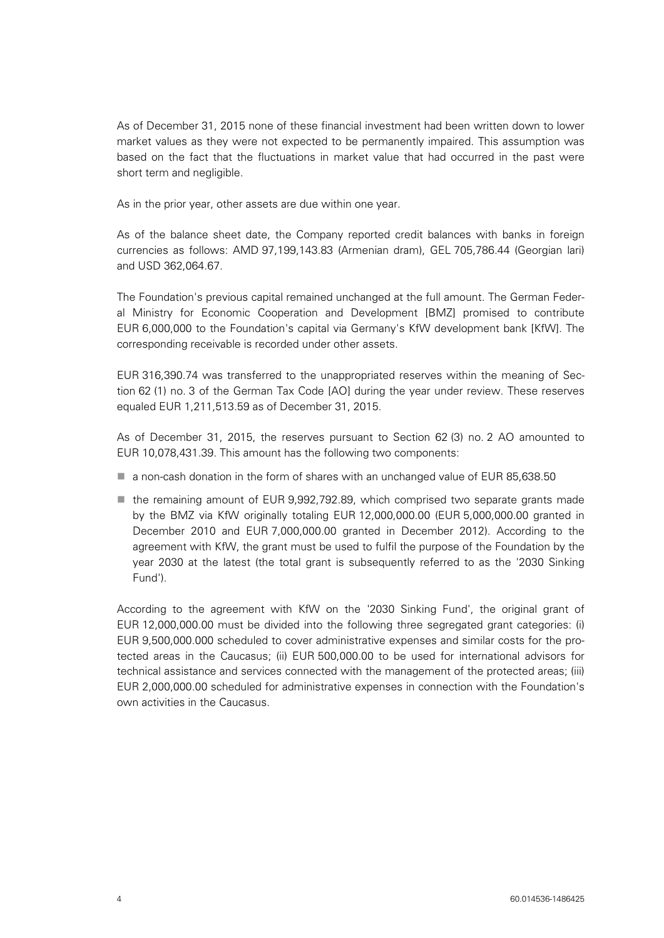As of December 31, 2015 none of these financial investment had been written down to lower market values as they were not expected to be permanently impaired. This assumption was based on the fact that the fluctuations in market value that had occurred in the past were short term and negligible.

As in the prior year, other assets are due within one year.

As of the balance sheet date, the Company reported credit balances with banks in foreign currencies as follows: AMD 97,199,143.83 (Armenian dram), GEL 705,786.44 (Georgian lari) and USD 362,064.67.

The Foundation's previous capital remained unchanged at the full amount. The German Federal Ministry for Economic Cooperation and Development [BMZ] promised to contribute EUR 6,000,000 to the Foundation's capital via Germany's KfW development bank [KfW]. The corresponding receivable is recorded under other assets.

EUR 316,390.74 was transferred to the unappropriated reserves within the meaning of Section 62 (1) no. 3 of the German Tax Code [AO] during the year under review. These reserves equaled EUR 1,211,513.59 as of December 31, 2015.

As of December 31, 2015, the reserves pursuant to Section 62 (3) no. 2 AO amounted to EUR 10,078,431.39. This amount has the following two components:

- a non-cash donation in the form of shares with an unchanged value of EUR 85,638.50
- In the remaining amount of EUR 9,992,792.89, which comprised two separate grants made by the BMZ via KfW originally totaling EUR 12,000,000.00 (EUR 5,000,000.00 granted in December 2010 and EUR 7,000,000.00 granted in December 2012). According to the agreement with KfW, the grant must be used to fulfil the purpose of the Foundation by the year 2030 at the latest (the total grant is subsequently referred to as the '2030 Sinking Fund').

According to the agreement with KfW on the '2030 Sinking Fund', the original grant of EUR 12,000,000.00 must be divided into the following three segregated grant categories: (i) EUR 9,500,000.000 scheduled to cover administrative expenses and similar costs for the protected areas in the Caucasus; (ii) EUR 500,000.00 to be used for international advisors for technical assistance and services connected with the management of the protected areas; (iii) EUR 2,000,000.00 scheduled for administrative expenses in connection with the Foundation's own activities in the Caucasus.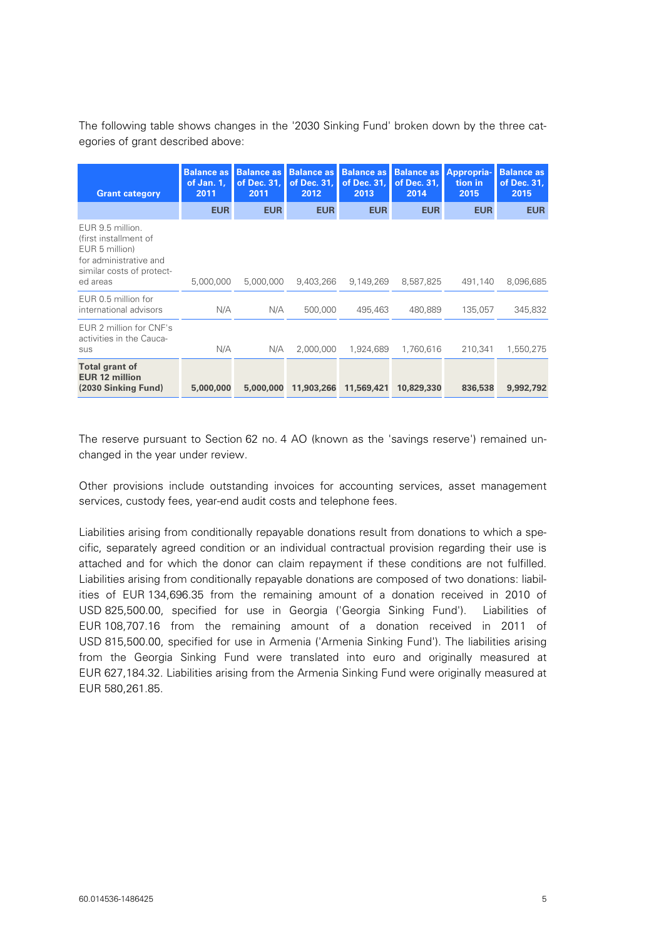The following table shows changes in the '2030 Sinking Fund' broken down by the three categories of grant described above:

| <b>Grant category</b>                                                                                                          | <b>Balance as</b><br>of Jan. 1,<br>2011 | <b>Balance as</b><br>of Dec. 31,<br>2011 | <b>Balance as</b><br>of Dec. 31,<br>2012 | <b>Balance as</b><br>of Dec. 31,<br>2013 | <b>Balance as</b><br>of Dec. 31,<br>2014 | Appropria-<br>tion in<br>2015 | <b>Balance</b> as<br>of Dec. 31,<br>2015 |
|--------------------------------------------------------------------------------------------------------------------------------|-----------------------------------------|------------------------------------------|------------------------------------------|------------------------------------------|------------------------------------------|-------------------------------|------------------------------------------|
|                                                                                                                                | <b>EUR</b>                              | <b>EUR</b>                               | <b>EUR</b>                               | <b>EUR</b>                               | <b>EUR</b>                               | <b>EUR</b>                    | <b>EUR</b>                               |
| EUR 9.5 million.<br>(first installment of<br>EUR 5 million)<br>for administrative and<br>similar costs of protect-<br>ed areas | 5,000,000                               | 5,000,000                                | 9,403,266                                | 9,149,269                                | 8,587,825                                | 491,140                       | 8,096,685                                |
| EUR 0.5 million for<br>international advisors                                                                                  | N/A                                     | N/A                                      | 500,000                                  | 495,463                                  | 480.889                                  | 135,057                       | 345,832                                  |
| EUR 2 million for CNF's<br>activities in the Cauca-<br><b>SUS</b>                                                              | N/A                                     | N/A                                      | 2,000,000                                | 1,924,689                                | 1,760,616                                | 210,341                       | 1,550,275                                |
| Total grant of<br><b>EUR 12 million</b><br>(2030 Sinking Fund)                                                                 | 5,000,000                               | 5,000,000                                | 11,903,266                               | 11,569,421                               | 10,829,330                               | 836,538                       | 9,992,792                                |

The reserve pursuant to Section 62 no. 4 AO (known as the 'savings reserve') remained unchanged in the year under review.

Other provisions include outstanding invoices for accounting services, asset management services, custody fees, year-end audit costs and telephone fees.

Liabilities arising from conditionally repayable donations result from donations to which a specific, separately agreed condition or an individual contractual provision regarding their use is attached and for which the donor can claim repayment if these conditions are not fulfilled. Liabilities arising from conditionally repayable donations are composed of two donations: liabilities of EUR 134,696.35 from the remaining amount of a donation received in 2010 of USD 825,500.00, specified for use in Georgia ('Georgia Sinking Fund'). Liabilities of EUR 108,707.16 from the remaining amount of a donation received in 2011 of USD 815,500.00, specified for use in Armenia ('Armenia Sinking Fund'). The liabilities arising from the Georgia Sinking Fund were translated into euro and originally measured at EUR 627,184.32. Liabilities arising from the Armenia Sinking Fund were originally measured at EUR-580,261.85.-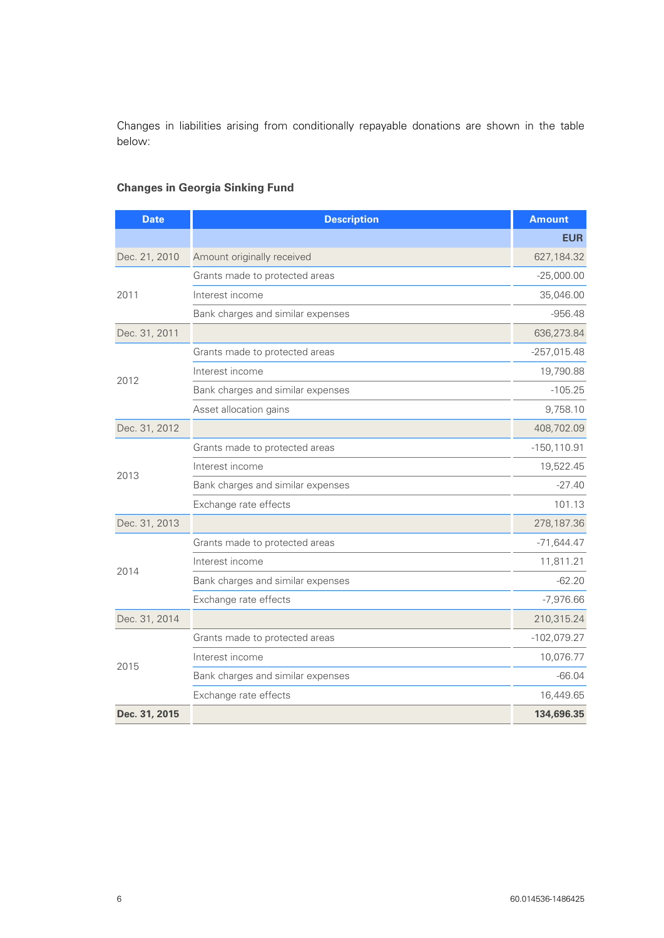Changes in liabilities arising from conditionally repayable donations are shown in the table below:

| <b>Date</b>   | <b>Description</b>                | <b>Amount</b>  |
|---------------|-----------------------------------|----------------|
|               |                                   | <b>EUR</b>     |
| Dec. 21, 2010 | Amount originally received        | 627,184.32     |
|               | Grants made to protected areas    | $-25,000.00$   |
| 2011          | Interest income                   | 35,046.00      |
|               | Bank charges and similar expenses | $-956.48$      |
| Dec. 31, 2011 |                                   | 636,273.84     |
|               | Grants made to protected areas    | $-257,015.48$  |
| 2012          | Interest income                   | 19,790.88      |
|               | Bank charges and similar expenses | $-105.25$      |
|               | Asset allocation gains            | 9,758.10       |
| Dec. 31, 2012 |                                   | 408,702.09     |
|               | Grants made to protected areas    | $-150, 110.91$ |
|               | Interest income                   | 19,522.45      |
| 2013          | Bank charges and similar expenses | $-27.40$       |
|               | Exchange rate effects             | 101.13         |
| Dec. 31, 2013 |                                   | 278,187.36     |
|               | Grants made to protected areas    | $-71,644.47$   |
|               | Interest income                   | 11,811.21      |
| 2014          | Bank charges and similar expenses | $-62.20$       |
|               | Exchange rate effects             | $-7,976.66$    |
| Dec. 31, 2014 |                                   | 210,315.24     |
|               | Grants made to protected areas    | $-102,079.27$  |
| 2015          | Interest income                   | 10,076.77      |
|               | Bank charges and similar expenses | $-66.04$       |
|               | Exchange rate effects             | 16,449.65      |
| Dec. 31, 2015 |                                   | 134,696.35     |

#### Changes in Georgia Sinking Fund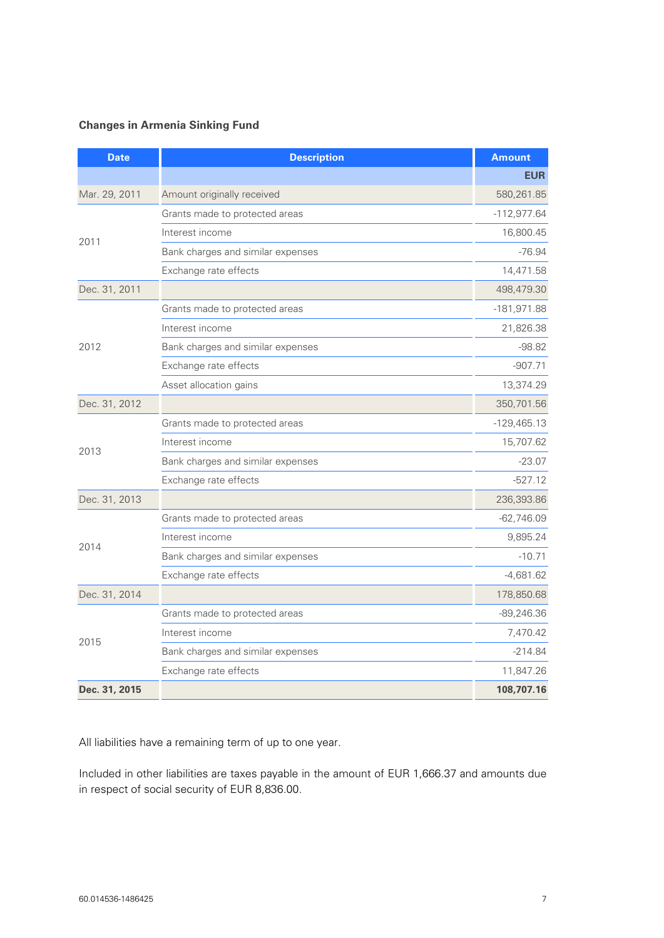#### Changes in Armenia Sinking Fund

| <b>Date</b>   | <b>Description</b>                | <b>Amount</b> |
|---------------|-----------------------------------|---------------|
|               |                                   | <b>EUR</b>    |
| Mar. 29, 2011 | Amount originally received        | 580,261.85    |
|               | Grants made to protected areas    | $-112,977.64$ |
|               | Interest income                   | 16,800.45     |
| 2011          | Bank charges and similar expenses | $-76.94$      |
|               | Exchange rate effects             | 14,471.58     |
| Dec. 31, 2011 |                                   | 498,479.30    |
|               | Grants made to protected areas    | $-181,971.88$ |
|               | Interest income                   | 21,826.38     |
| 2012          | Bank charges and similar expenses | $-98.82$      |
|               | Exchange rate effects             | $-907.71$     |
|               | Asset allocation gains            | 13,374.29     |
| Dec. 31, 2012 |                                   | 350,701.56    |
|               | Grants made to protected areas    | -129,465.13   |
|               | Interest income                   | 15,707.62     |
| 2013          | Bank charges and similar expenses | $-23.07$      |
|               | Exchange rate effects             | $-527.12$     |
| Dec. 31, 2013 |                                   | 236,393.86    |
|               | Grants made to protected areas    | $-62,746.09$  |
| 2014          | Interest income                   | 9,895.24      |
|               | Bank charges and similar expenses | $-10.71$      |
|               | Exchange rate effects             | $-4,681.62$   |
| Dec. 31, 2014 |                                   | 178,850.68    |
|               | Grants made to protected areas    | $-89,246.36$  |
|               | Interest income                   | 7,470.42      |
| 2015          | Bank charges and similar expenses | $-214.84$     |
|               | Exchange rate effects             | 11,847.26     |
| Dec. 31, 2015 |                                   | 108,707.16    |

All liabilities have a remaining term of up to one year.

Included in other liabilities are taxes payable in the amount of EUR 1,666.37 and amounts due in respect of social security of EUR 8,836.00.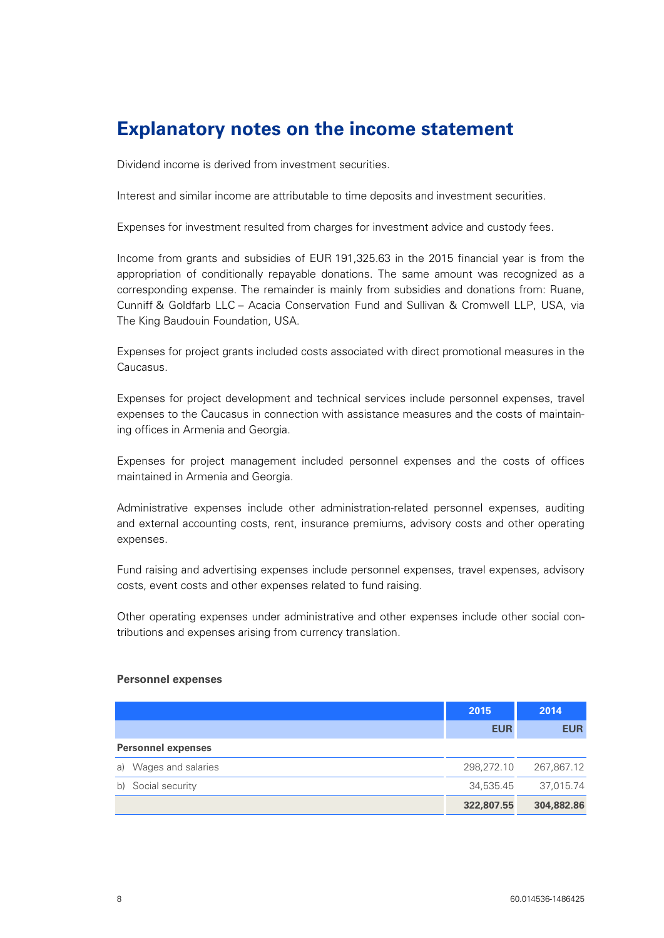## Explanatory notes on the income statement

Dividend income is derived from investment securities.

Interest and similar income are attributable to time deposits and investment securities.

Expenses for investment resulted from charges for investment advice and custody fees.

Income from grants and subsidies of EUR 191,325.63 in the 2015 financial year is from the appropriation of conditionally repayable donations. The same amount was recognized as a corresponding expense. The remainder is mainly from subsidies and donations from: Ruane, Cunniff & Goldfarb LLC - Acacia Conservation Fund and Sullivan & Cromwell LLP, USA, via The King Baudouin Foundation, USA.

Expenses for project grants included costs associated with direct promotional measures in the Caucasus.

Expenses for project development and technical services include personnel expenses, travel expenses to the Caucasus in connection with assistance measures and the costs of maintaining offices in Armenia and Georgia.

Expenses for project management included personnel expenses and the costs of offices maintained in Armenia and Georgia.

Administrative expenses include other administration-related personnel expenses, auditing and external accounting costs, rent, insurance premiums, advisory costs and other operating expenses.

Fund raising and advertising expenses include personnel expenses, travel expenses, advisory costs, event costs and other expenses related to fund raising.

Other operating expenses under administrative and other expenses include other social contributions and expenses arising from currency translation.

### Personnel expenses

|                           | 2015       | 2014       |
|---------------------------|------------|------------|
|                           | <b>EUR</b> | <b>EUR</b> |
| <b>Personnel expenses</b> |            |            |
| Wages and salaries<br>a)  | 298,272.10 | 267,867.12 |
| b) Social security        | 34,535.45  | 37,015.74  |
|                           | 322,807.55 | 304,882.86 |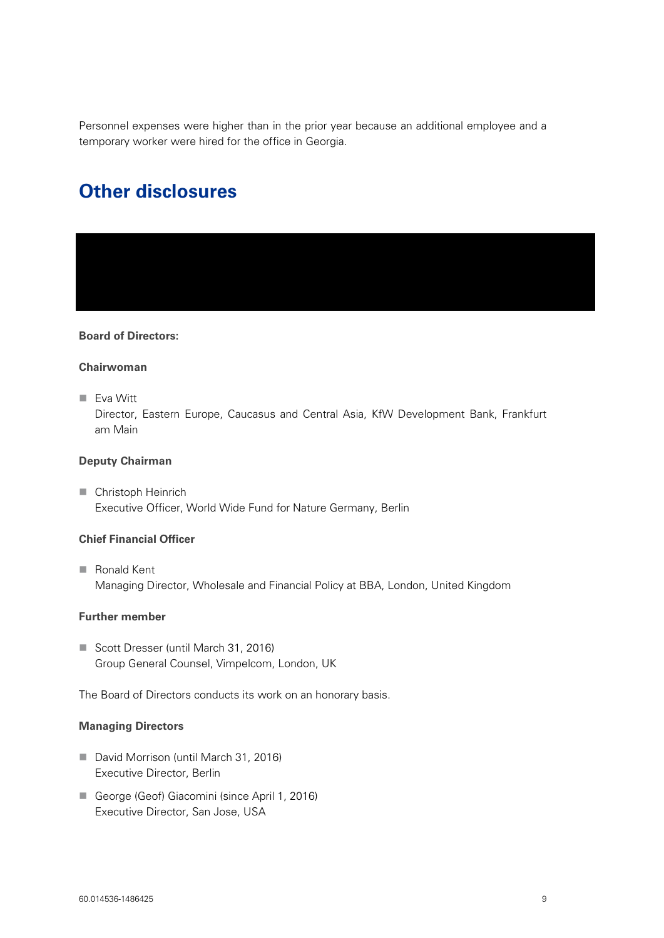Personnel expenses were higher than in the prior year because an additional employee and a temporary worker were hired for the office in Georgia.

## Other disclosures

#### Board of Directors:

#### Chairwoman

■ Eva Witt Director, Eastern Europe, Caucasus and Central Asia, KfW Development Bank, Frankfurt am-Main-

#### Deputy Chairman

■ Christoph Heinrich Executive Officer, World Wide Fund for Nature Germany, Berlin

#### Chief Financial Officer

■ Ronald Kent Managing Director, Wholesale and Financial Policy at BBA, London, United Kingdom

#### Further member

Scott Dresser (until March 31, 2016) Group General Counsel, Vimpelcom, London, UK

The Board of Directors conducts its work on an honorary basis.

#### Managing Directors

- David Morrison (until March 31, 2016) Executive Director, Berlin
- George (Geof) Giacomini (since April 1, 2016) Executive Director, San Jose, USA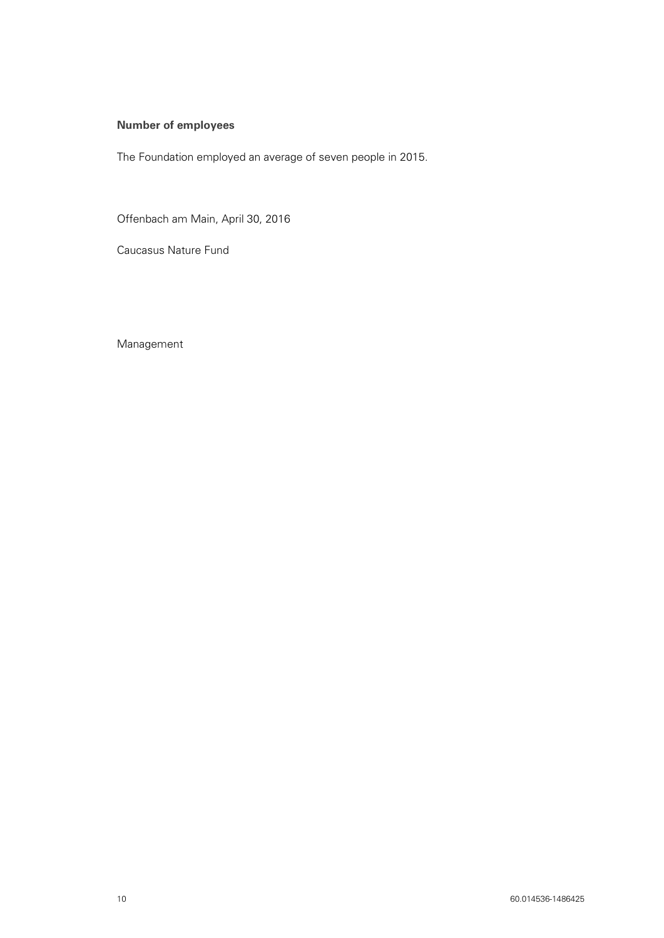#### Number of employees

The Foundation employed an average of seven people in 2015.

Offenbach am Main, April 30, 2016

Caucasus Nature Fund

#### Management-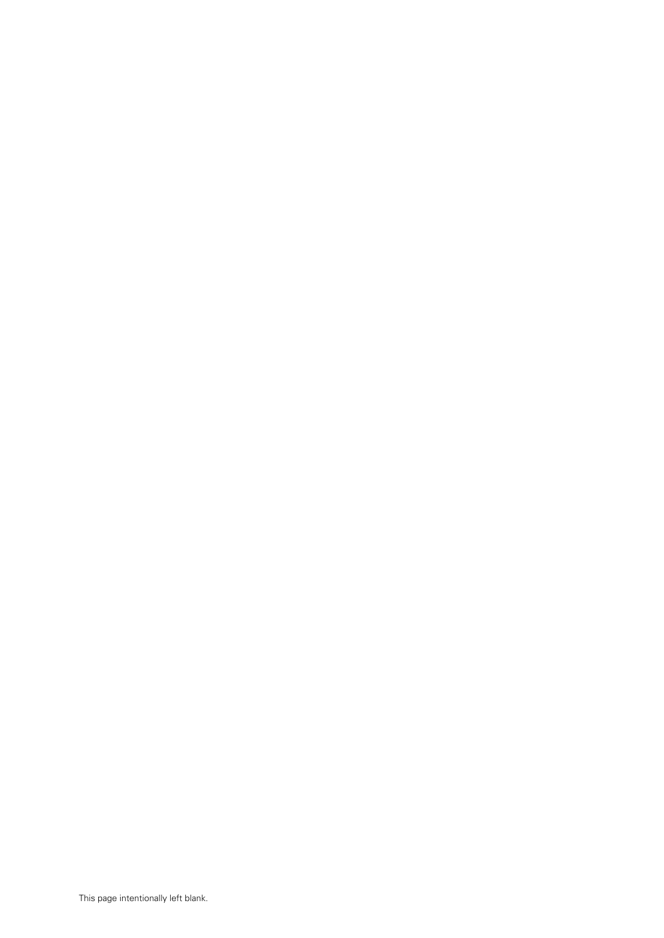This-page-intentionally-left-blank.-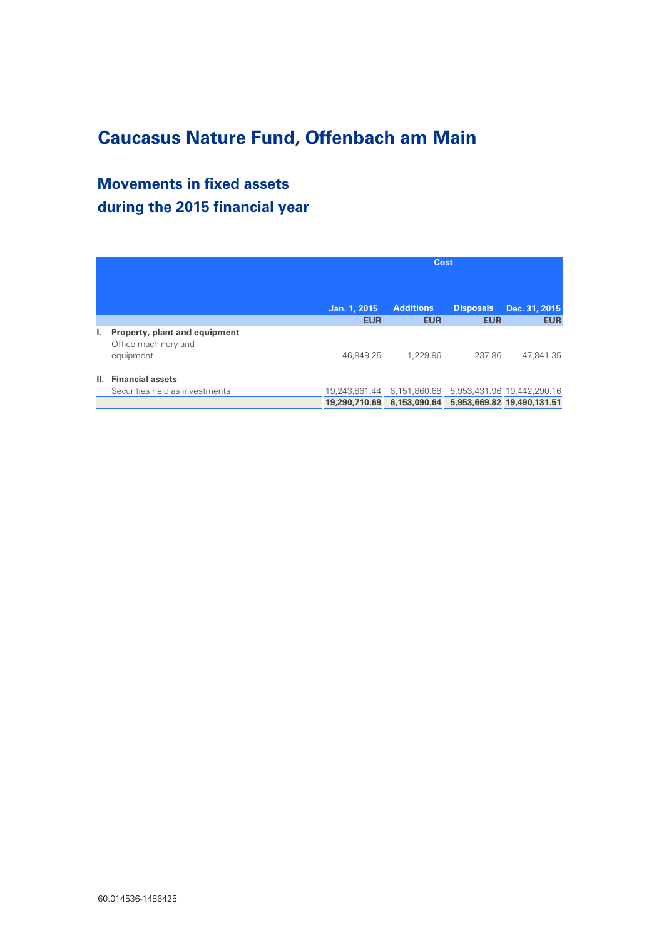### Movements in fixed assets during the 2015 financial year

|    |                                                           | Cost                       |                                |                                |                             |  |
|----|-----------------------------------------------------------|----------------------------|--------------------------------|--------------------------------|-----------------------------|--|
|    |                                                           | Jan. 1, 2015<br><b>EUR</b> | <b>Additions</b><br><b>EUR</b> | <b>Disposals</b><br><b>EUR</b> | Dec. 31, 2015<br><b>EUR</b> |  |
|    | Property, plant and equipment                             |                            |                                |                                |                             |  |
| Ъ. | Office machinery and<br>equipment                         | 46,849.25                  | 1.229.96                       | 237.86                         | 47.841.35                   |  |
| Ш. | <b>Financial assets</b><br>Securities held as investments | 19.243.861.44              | 6.151.860.68                   |                                | 5,953,431.96 19,442,290.16  |  |
|    |                                                           | 19,290,710.69              | 6,153,090.64                   |                                | 5,953,669.82 19,490,131.51  |  |